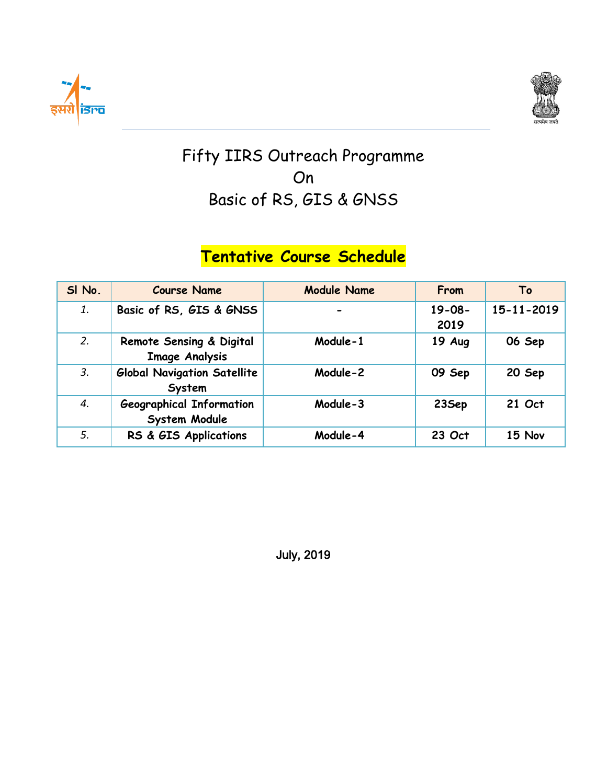



## Fifty IIRS Outreach Programme On Basic of RS, GIS & GNSS

## **Tentative Course Schedule**

| SI No. | <b>Course Name</b>                                | <b>Module Name</b> | From                | To         |
|--------|---------------------------------------------------|--------------------|---------------------|------------|
| 1.     | Basic of RS, GIS & GNSS                           |                    | $19 - 08 -$<br>2019 | 15-11-2019 |
| 2.     | Remote Sensing & Digital<br><b>Image Analysis</b> | Module-1           | 19 Aug              | 06 Sep     |
| 3.     | <b>Global Navigation Satellite</b><br>System      | Module-2           | 09 Sep              | 20 Sep     |
| 4.     | <b>Geographical Information</b><br>System Module  | Module-3           | 23Sep               | 21 Oct     |
| 5.     | RS & GIS Applications                             | Module-4           | 23 Oct              | 15 Nov     |

July, 2019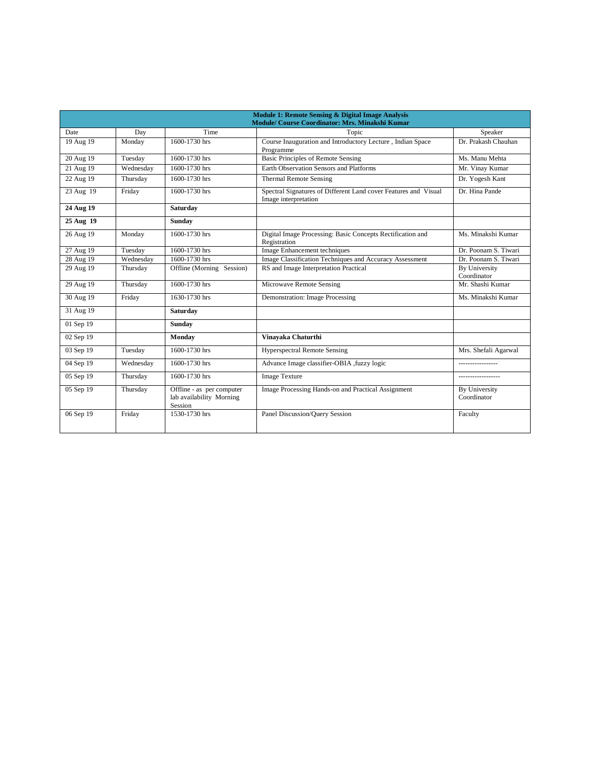|           |           |                                                                  | Module 1: Remote Sensing & Digital Image Analysis<br>Module/ Course Coordinator: Mrs. Minakshi Kumar |                              |
|-----------|-----------|------------------------------------------------------------------|------------------------------------------------------------------------------------------------------|------------------------------|
| Date      | Day       | Time                                                             | Topic                                                                                                | Speaker                      |
| 19 Aug 19 | Monday    | 1600-1730 hrs                                                    | Course Inauguration and Introductory Lecture, Indian Space<br>Programme                              | Dr. Prakash Chauhan          |
| 20 Aug 19 | Tuesday   | 1600-1730 hrs                                                    | Basic Principles of Remote Sensing                                                                   | Ms. Manu Mehta               |
| 21 Aug 19 | Wednesday | 1600-1730 hrs                                                    | <b>Earth Observation Sensors and Platforms</b>                                                       | Mr. Vinay Kumar              |
| 22 Aug 19 | Thursday  | 1600-1730 hrs                                                    | <b>Thermal Remote Sensing</b>                                                                        | Dr. Yogesh Kant              |
| 23 Aug 19 | Friday    | 1600-1730 hrs                                                    | Spectral Signatures of Different Land cover Features and Visual<br>Image interpretation              | Dr. Hina Pande               |
| 24 Aug 19 |           | Saturday                                                         |                                                                                                      |                              |
| 25 Aug 19 |           | <b>Sunday</b>                                                    |                                                                                                      |                              |
| 26 Aug 19 | Monday    | 1600-1730 hrs                                                    | Digital Image Processing: Basic Concepts Rectification and<br>Registration                           | Ms. Minakshi Kumar           |
| 27 Aug 19 | Tuesday   | 1600-1730 hrs                                                    | Image Enhancement techniques                                                                         | Dr. Poonam S. Tiwari         |
| 28 Aug 19 | Wednesday | 1600-1730 hrs                                                    | Image Classification Techniques and Accuracy Assessment                                              | Dr. Poonam S. Tiwari         |
| 29 Aug 19 | Thursday  | Offline (Morning Session)                                        | RS and Image Interpretation Practical                                                                | By University<br>Coordinator |
| 29 Aug 19 | Thursday  | 1600-1730 hrs                                                    | Microwave Remote Sensing                                                                             | Mr. Shashi Kumar             |
| 30 Aug 19 | Friday    | 1630-1730 hrs                                                    | Demonstration: Image Processing                                                                      | Ms. Minakshi Kumar           |
| 31 Aug 19 |           | <b>Saturdav</b>                                                  |                                                                                                      |                              |
| 01 Sep 19 |           | Sunday                                                           |                                                                                                      |                              |
| 02 Sep 19 |           | Monday                                                           | Vinavaka Chaturthi                                                                                   |                              |
| 03 Sep 19 | Tuesday   | 1600-1730 hrs                                                    | <b>Hyperspectral Remote Sensing</b>                                                                  | Mrs. Shefali Agarwal         |
| 04 Sep 19 | Wednesday | 1600-1730 hrs                                                    | Advance Image classifier-OBIA , fuzzy logic                                                          |                              |
| 05 Sep 19 | Thursday  | 1600-1730 hrs                                                    | <b>Image Texture</b>                                                                                 |                              |
| 05 Sep 19 | Thursday  | Offline - as per computer<br>lab availability Morning<br>Session | Image Processing Hands-on and Practical Assignment                                                   | By University<br>Coordinator |
| 06 Sep 19 | Friday    | 1530-1730 hrs                                                    | Panel Discussion/Ouery Session                                                                       | Faculty                      |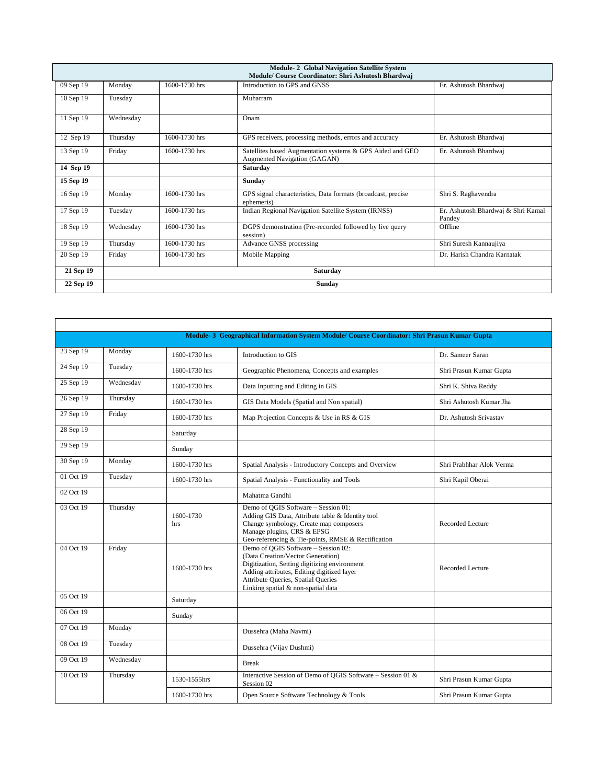| <b>Module-2 Global Navigation Satellite System</b><br>Module/ Course Coordinator: Shri Ashutosh Bhardwaj |               |               |                                                                                           |                                              |
|----------------------------------------------------------------------------------------------------------|---------------|---------------|-------------------------------------------------------------------------------------------|----------------------------------------------|
| 09 Sep 19                                                                                                | Monday        | 1600-1730 hrs | Introduction to GPS and GNSS                                                              | Er. Ashutosh Bhardwaj                        |
| 10 Sep 19                                                                                                | Tuesday       |               | Muharram                                                                                  |                                              |
| 11 Sep 19                                                                                                | Wednesday     |               | Onam                                                                                      |                                              |
| 12 Sep 19                                                                                                | Thursdav      | 1600-1730 hrs | GPS receivers, processing methods, errors and accuracy                                    | Er. Ashutosh Bhardwaj                        |
| 13 Sep 19                                                                                                | Friday        | 1600-1730 hrs | Satellites based Augmentation systems & GPS Aided and GEO<br>Augmented Navigation (GAGAN) | Er. Ashutosh Bhardwaj                        |
| 14 Sep 19                                                                                                |               |               | Saturday                                                                                  |                                              |
| 15 Sep 19                                                                                                |               |               | Sunday                                                                                    |                                              |
| 16 Sep 19                                                                                                | Monday        | 1600-1730 hrs | GPS signal characteristics, Data formats (broadcast, precise<br>ephemeris)                | Shri S. Raghavendra                          |
| 17 Sep 19                                                                                                | Tuesday       | 1600-1730 hrs | Indian Regional Navigation Satellite System (IRNSS)                                       | Er. Ashutosh Bhardwaj & Shri Kamal<br>Pandev |
| 18 Sep 19                                                                                                | Wednesday     | 1600-1730 hrs | DGPS demonstration (Pre-recorded followed by live query<br>session)                       | Offline                                      |
| 19 Sep 19                                                                                                | Thursday      | 1600-1730 hrs | Advance GNSS processing                                                                   | Shri Suresh Kannaujiya                       |
| 20 Sep 19                                                                                                | Friday        | 1600-1730 hrs | Mobile Mapping                                                                            | Dr. Harish Chandra Karnatak                  |
| 21 Sep 19                                                                                                |               |               | Saturday                                                                                  |                                              |
| 22 Sep 19                                                                                                | <b>Sunday</b> |               |                                                                                           |                                              |

| Module- 3 Geographical Information System Module/ Course Coordinator: Shri Prasun Kumar Gupta |           |                  |                                                                                                                                                                                                                                                    |                          |  |
|-----------------------------------------------------------------------------------------------|-----------|------------------|----------------------------------------------------------------------------------------------------------------------------------------------------------------------------------------------------------------------------------------------------|--------------------------|--|
| 23 Sep 19                                                                                     | Monday    | 1600-1730 hrs    | Introduction to GIS                                                                                                                                                                                                                                | Dr. Sameer Saran         |  |
| 24 Sep 19                                                                                     | Tuesday   | 1600-1730 hrs    | Geographic Phenomena, Concepts and examples                                                                                                                                                                                                        | Shri Prasun Kumar Gupta  |  |
| 25 Sep 19                                                                                     | Wednesday | 1600-1730 hrs    | Data Inputting and Editing in GIS                                                                                                                                                                                                                  | Shri K. Shiva Reddy      |  |
| 26 Sep 19                                                                                     | Thursday  | 1600-1730 hrs    | GIS Data Models (Spatial and Non spatial)                                                                                                                                                                                                          | Shri Ashutosh Kumar Jha  |  |
| 27 Sep 19                                                                                     | Friday    | 1600-1730 hrs    | Map Projection Concepts & Use in RS & GIS                                                                                                                                                                                                          | Dr. Ashutosh Srivastav   |  |
| 28 Sep 19                                                                                     |           | Saturday         |                                                                                                                                                                                                                                                    |                          |  |
| 29 Sep 19                                                                                     |           | Sunday           |                                                                                                                                                                                                                                                    |                          |  |
| 30 Sep 19                                                                                     | Monday    | 1600-1730 hrs    | Spatial Analysis - Introductory Concepts and Overview                                                                                                                                                                                              | Shri Prabhhar Alok Verma |  |
| 01 Oct 19                                                                                     | Tuesday   | 1600-1730 hrs    | Spatial Analysis - Functionality and Tools                                                                                                                                                                                                         | Shri Kapil Oberai        |  |
| 02 Oct 19                                                                                     |           |                  | Mahatma Gandhi                                                                                                                                                                                                                                     |                          |  |
| 03 Oct 19                                                                                     | Thursday  | 1600-1730<br>hrs | Demo of OGIS Software - Session 01:<br>Adding GIS Data, Attribute table & Identity tool<br>Change symbology, Create map composers<br>Manage plugins, CRS & EPSG<br>Geo-referencing & Tie-points, RMSE & Rectification                              | Recorded Lecture         |  |
| 04 Oct 19                                                                                     | Friday    | 1600-1730 hrs    | Demo of QGIS Software - Session 02:<br>(Data Creation/Vector Generation)<br>Digitization, Setting digitizing environment<br>Adding attributes, Editing digitized layer<br>Attribute Queries, Spatial Queries<br>Linking spatial & non-spatial data | Recorded Lecture         |  |
| 05 Oct 19                                                                                     |           | Saturday         |                                                                                                                                                                                                                                                    |                          |  |
| 06 Oct 19                                                                                     |           | Sunday           |                                                                                                                                                                                                                                                    |                          |  |
| 07 Oct 19                                                                                     | Monday    |                  | Dussehra (Maha Navmi)                                                                                                                                                                                                                              |                          |  |
| 08 Oct 19                                                                                     | Tuesday   |                  | Dussehra (Vijay Dushmi)                                                                                                                                                                                                                            |                          |  |
| 09 Oct 19                                                                                     | Wednesday |                  | <b>Break</b>                                                                                                                                                                                                                                       |                          |  |
| 10 Oct 19                                                                                     | Thursday  | 1530-1555hrs     | Interactive Session of Demo of OGIS Software - Session 01 &<br>Session 02                                                                                                                                                                          | Shri Prasun Kumar Gupta  |  |
|                                                                                               |           | 1600-1730 hrs    | Open Source Software Technology & Tools                                                                                                                                                                                                            | Shri Prasun Kumar Gupta  |  |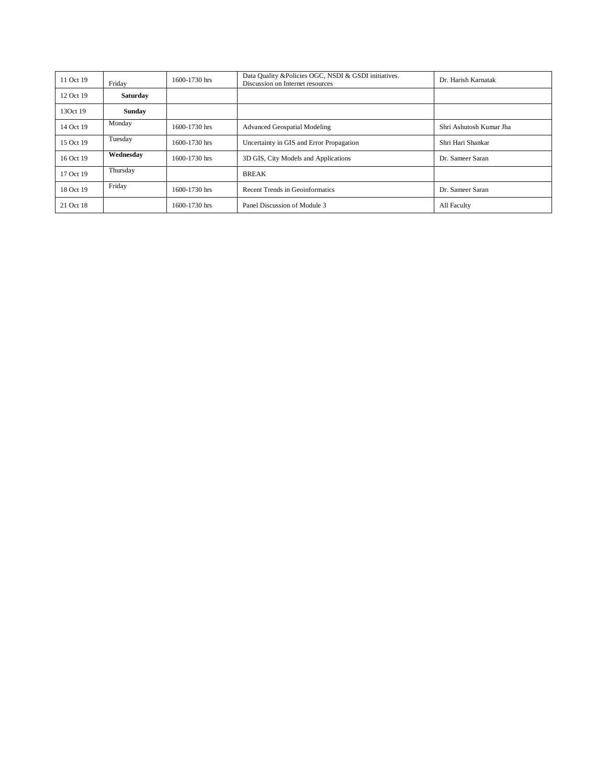| 11 Oct 19 | Friday    | 1600-1730 hrs | Data Quality & Policies OGC, NSDI & GSDI initiatives.<br>Discussion on Internet resources | Dr. Harish Karnatak     |
|-----------|-----------|---------------|-------------------------------------------------------------------------------------------|-------------------------|
| 12 Oct 19 | Saturday  |               |                                                                                           |                         |
| 13Oct 19  | Sunday    |               |                                                                                           |                         |
| 14 Oct 19 | Monday    | 1600-1730 hrs | <b>Advanced Geospatial Modeling</b>                                                       | Shri Ashutosh Kumar Jha |
| 15 Oct 19 | Tuesday   | 1600-1730 hrs | Uncertainty in GIS and Error Propagation                                                  | Shri Hari Shankar       |
| 16 Oct 19 | Wednesday | 1600-1730 hrs | 3D GIS, City Models and Applications                                                      | Dr. Sameer Saran        |
| 17 Oct 19 | Thursday  |               | <b>BREAK</b>                                                                              |                         |
| 18 Oct 19 | Friday    | 1600-1730 hrs | Recent Trends in Geoinformatics                                                           | Dr. Sameer Saran        |
| 21 Oct 18 |           | 1600-1730 hrs | Panel Discussion of Module 3                                                              | All Faculty             |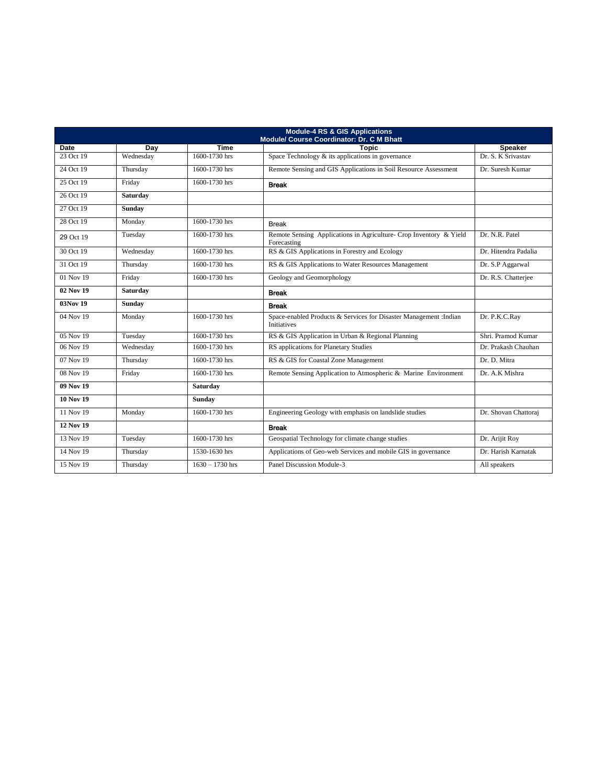| <b>Module-4 RS &amp; GIS Applications</b><br>Module/ Course Coordinator: Dr. C M Bhatt |               |                   |                                                                                          |                      |
|----------------------------------------------------------------------------------------|---------------|-------------------|------------------------------------------------------------------------------------------|----------------------|
| <b>Date</b>                                                                            | Dav           | <b>Time</b>       | <b>Topic</b>                                                                             | <b>Speaker</b>       |
| 23 Oct 19                                                                              | Wednesday     | 1600-1730 hrs     | Space Technology & its applications in governance                                        | Dr. S. K Srivastav   |
| 24 Oct 19                                                                              | Thursday      | 1600-1730 hrs     | Remote Sensing and GIS Applications in Soil Resource Assessment                          | Dr. Suresh Kumar     |
| 25 Oct 19                                                                              | Friday        | 1600-1730 hrs     | <b>Break</b>                                                                             |                      |
| 26 Oct 19                                                                              | Saturday      |                   |                                                                                          |                      |
| 27 Oct 19                                                                              | <b>Sunday</b> |                   |                                                                                          |                      |
| 28 Oct 19                                                                              | Monday        | 1600-1730 hrs     | <b>Break</b>                                                                             |                      |
| 29 Oct 19                                                                              | Tuesday       | 1600-1730 hrs     | Remote Sensing Applications in Agriculture- Crop Inventory & Yield<br>Forecasting        | Dr. N.R. Patel       |
| 30 Oct 19                                                                              | Wednesday     | 1600-1730 hrs     | RS & GIS Applications in Forestry and Ecology                                            | Dr. Hitendra Padalia |
| 31 Oct 19                                                                              | Thursday      | 1600-1730 hrs     | RS & GIS Applications to Water Resources Management                                      | Dr. S.P Aggarwal     |
| 01 Nov 19                                                                              | Friday        | 1600-1730 hrs     | Geology and Geomorphology                                                                | Dr. R.S. Chatterjee  |
| 02 Nov 19                                                                              | Saturday      |                   | <b>Break</b>                                                                             |                      |
| 03Nov 19                                                                               | <b>Sunday</b> |                   | <b>Break</b>                                                                             |                      |
| 04 Nov 19                                                                              | Monday        | 1600-1730 hrs     | Space-enabled Products & Services for Disaster Management : Indian<br><b>Initiatives</b> | Dr. P.K.C.Ray        |
| 05 Nov 19                                                                              | Tuesday       | 1600-1730 hrs     | RS & GIS Application in Urban & Regional Planning                                        | Shri. Pramod Kumar   |
| 06 Nov 19                                                                              | Wednesday     | 1600-1730 hrs     | RS applications for Planetary Studies                                                    | Dr. Prakash Chauhan  |
| 07 Nov 19                                                                              | Thursday      | 1600-1730 hrs     | RS & GIS for Coastal Zone Management                                                     | Dr. D. Mitra         |
| 08 Nov 19                                                                              | Friday        | 1600-1730 hrs     | Remote Sensing Application to Atmospheric & Marine Environment                           | Dr. A.K Mishra       |
| 09 Nov 19                                                                              |               | Saturday          |                                                                                          |                      |
| <b>10 Nov 19</b>                                                                       |               | Sunday            |                                                                                          |                      |
| 11 Nov 19                                                                              | Monday        | 1600-1730 hrs     | Engineering Geology with emphasis on landslide studies                                   | Dr. Shovan Chattoraj |
| <b>12 Nov 19</b>                                                                       |               |                   | <b>Break</b>                                                                             |                      |
| 13 Nov 19                                                                              | Tuesday       | 1600-1730 hrs     | Geospatial Technology for climate change studies                                         | Dr. Arijit Roy       |
| 14 Nov 19                                                                              | Thursday      | 1530-1630 hrs     | Applications of Geo-web Services and mobile GIS in governance                            | Dr. Harish Karnatak  |
| 15 Nov 19                                                                              | Thursday      | $1630 - 1730$ hrs | Panel Discussion Module-3                                                                | All speakers         |